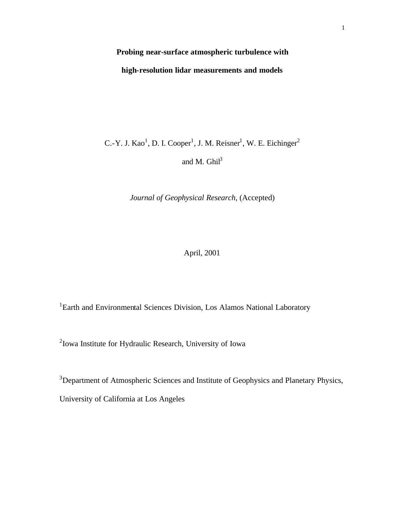# **Probing near-surface atmospheric turbulence with high-resolution lidar measurements and models**

C.-Y. J. Kao<sup>1</sup>, D. I. Cooper<sup>1</sup>, J. M. Reisner<sup>1</sup>, W. E. Eichinger<sup>2</sup> and M.  $Ghil<sup>3</sup>$ 

*Journal of Geophysical Research*, (Accepted)

# April, 2001

<sup>1</sup>Earth and Environmental Sciences Division, Los Alamos National Laboratory

<sup>2</sup> Iowa Institute for Hydraulic Research, University of Iowa

<sup>3</sup>Department of Atmospheric Sciences and Institute of Geophysics and Planetary Physics, University of California at Los Angeles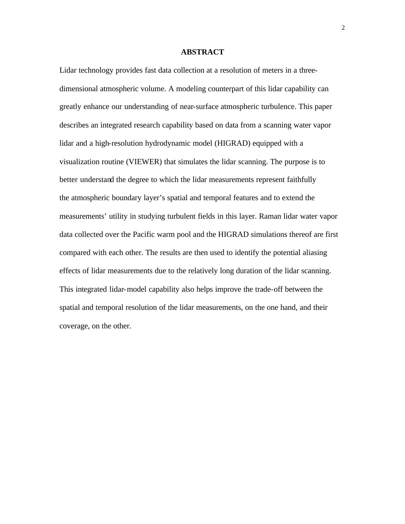#### **ABSTRACT**

Lidar technology provides fast data collection at a resolution of meters in a threedimensional atmospheric volume. A modeling counterpart of this lidar capability can greatly enhance our understanding of near-surface atmospheric turbulence. This paper describes an integrated research capability based on data from a scanning water vapor lidar and a high-resolution hydrodynamic model (HIGRAD) equipped with a visualization routine (VIEWER) that simulates the lidar scanning. The purpose is to better understand the degree to which the lidar measurements represent faithfully the atmospheric boundary layer's spatial and temporal features and to extend the measurements' utility in studying turbulent fields in this layer. Raman lidar water vapor data collected over the Pacific warm pool and the HIGRAD simulations thereof are first compared with each other. The results are then used to identify the potential aliasing effects of lidar measurements due to the relatively long duration of the lidar scanning. This integrated lidar-model capability also helps improve the trade-off between the spatial and temporal resolution of the lidar measurements, on the one hand, and their coverage, on the other.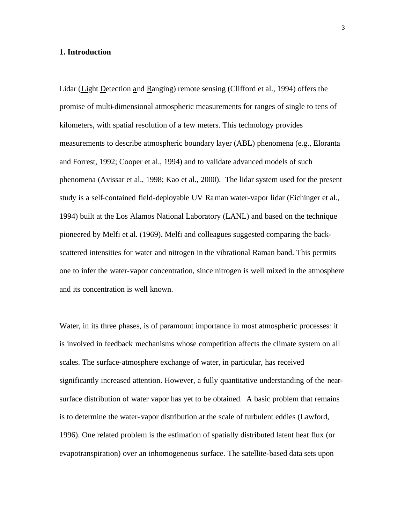#### **1. Introduction**

Lidar (Light Detection and Ranging) remote sensing (Clifford et al., 1994) offers the promise of multi-dimensional atmospheric measurements for ranges of single to tens of kilometers, with spatial resolution of a few meters. This technology provides measurements to describe atmospheric boundary layer (ABL) phenomena (e.g., Eloranta and Forrest, 1992; Cooper et al., 1994) and to validate advanced models of such phenomena (Avissar et al., 1998; Kao et al., 2000). The lidar system used for the present study is a self-contained field-deployable UV Raman water-vapor lidar (Eichinger et al., 1994) built at the Los Alamos National Laboratory (LANL) and based on the technique pioneered by Melfi et al. (1969). Melfi and colleagues suggested comparing the backscattered intensities for water and nitrogen in the vibrational Raman band. This permits one to infer the water-vapor concentration, since nitrogen is well mixed in the atmosphere and its concentration is well known.

Water, in its three phases, is of paramount importance in most atmospheric processes: it is involved in feedback mechanisms whose competition affects the climate system on all scales. The surface-atmosphere exchange of water, in particular, has received significantly increased attention. However, a fully quantitative understanding of the nearsurface distribution of water vapor has yet to be obtained. A basic problem that remains is to determine the water-vapor distribution at the scale of turbulent eddies (Lawford, 1996). One related problem is the estimation of spatially distributed latent heat flux (or evapotranspiration) over an inhomogeneous surface. The satellite-based data sets upon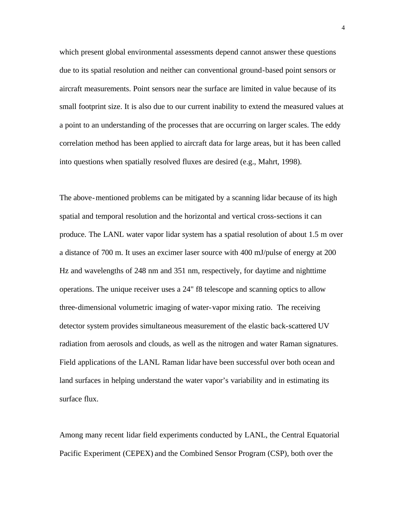which present global environmental assessments depend cannot answer these questions due to its spatial resolution and neither can conventional ground-based point sensors or aircraft measurements. Point sensors near the surface are limited in value because of its small footprint size. It is also due to our current inability to extend the measured values at a point to an understanding of the processes that are occurring on larger scales. The eddy correlation method has been applied to aircraft data for large areas, but it has been called into questions when spatially resolved fluxes are desired (e.g., Mahrt, 1998).

The above-mentioned problems can be mitigated by a scanning lidar because of its high spatial and temporal resolution and the horizontal and vertical cross-sections it can produce. The LANL water vapor lidar system has a spatial resolution of about 1.5 m over a distance of 700 m. It uses an excimer laser source with 400 mJ/pulse of energy at 200 Hz and wavelengths of 248 nm and 351 nm, respectively, for daytime and nighttime operations. The unique receiver uses a 24" f8 telescope and scanning optics to allow three-dimensional volumetric imaging of water-vapor mixing ratio. The receiving detector system provides simultaneous measurement of the elastic back-scattered UV radiation from aerosols and clouds, as well as the nitrogen and water Raman signatures. Field applications of the LANL Raman lidar have been successful over both ocean and land surfaces in helping understand the water vapor's variability and in estimating its surface flux.

Among many recent lidar field experiments conducted by LANL, the Central Equatorial Pacific Experiment (CEPEX) and the Combined Sensor Program (CSP), both over the

4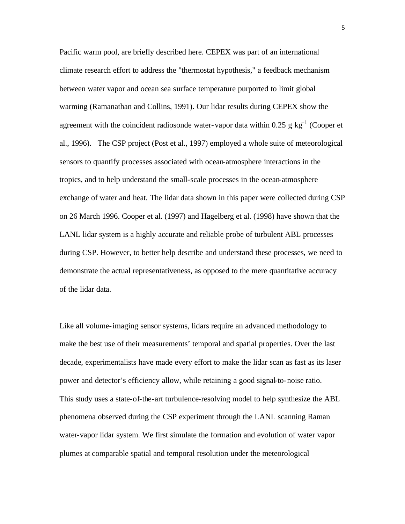Pacific warm pool, are briefly described here. CEPEX was part of an international climate research effort to address the "thermostat hypothesis," a feedback mechanism between water vapor and ocean sea surface temperature purported to limit global warming (Ramanathan and Collins, 1991). Our lidar results during CEPEX show the agreement with the coincident radiosonde water-vapor data within 0.25 g  $kg^{-1}$  (Cooper et al., 1996). The CSP project (Post et al., 1997) employed a whole suite of meteorological sensors to quantify processes associated with ocean-atmosphere interactions in the tropics, and to help understand the small-scale processes in the ocean-atmosphere exchange of water and heat. The lidar data shown in this paper were collected during CSP on 26 March 1996. Cooper et al. (1997) and Hagelberg et al. (1998) have shown that the LANL lidar system is a highly accurate and reliable probe of turbulent ABL processes during CSP. However, to better help describe and understand these processes, we need to demonstrate the actual representativeness, as opposed to the mere quantitative accuracy of the lidar data.

Like all volume-imaging sensor systems, lidars require an advanced methodology to make the best use of their measurements' temporal and spatial properties. Over the last decade, experimentalists have made every effort to make the lidar scan as fast as its laser power and detector's efficiency allow, while retaining a good signal-to-noise ratio. This study uses a state-of-the-art turbulence-resolving model to help synthesize the ABL phenomena observed during the CSP experiment through the LANL scanning Raman water-vapor lidar system. We first simulate the formation and evolution of water vapor plumes at comparable spatial and temporal resolution under the meteorological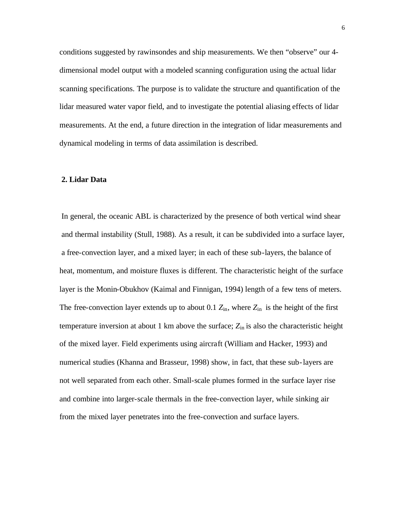conditions suggested by rawinsondes and ship measurements. We then "observe" our 4 dimensional model output with a modeled scanning configuration using the actual lidar scanning specifications. The purpose is to validate the structure and quantification of the lidar measured water vapor field, and to investigate the potential aliasing effects of lidar measurements. At the end, a future direction in the integration of lidar measurements and dynamical modeling in terms of data assimilation is described.

#### **2. Lidar Data**

In general, the oceanic ABL is characterized by the presence of both vertical wind shear and thermal instability (Stull, 1988). As a result, it can be subdivided into a surface layer, a free-convection layer, and a mixed layer; in each of these sub-layers, the balance of heat, momentum, and moisture fluxes is different. The characteristic height of the surface layer is the Monin-Obukhov (Kaimal and Finnigan, 1994) length of a few tens of meters. The free-convection layer extends up to about 0.1  $Z_{\text{in}}$ , where  $Z_{\text{in}}$  is the height of the first temperature inversion at about 1 km above the surface; *Z*in is also the characteristic height of the mixed layer. Field experiments using aircraft (William and Hacker, 1993) and numerical studies (Khanna and Brasseur, 1998) show, in fact, that these sub-layers are not well separated from each other. Small-scale plumes formed in the surface layer rise and combine into larger-scale thermals in the free-convection layer, while sinking air from the mixed layer penetrates into the free-convection and surface layers.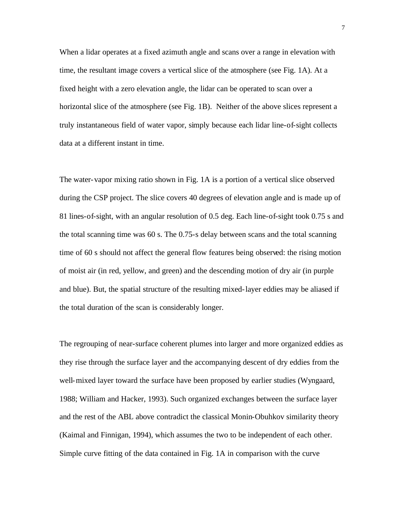When a lidar operates at a fixed azimuth angle and scans over a range in elevation with time, the resultant image covers a vertical slice of the atmosphere (see Fig. 1A). At a fixed height with a zero elevation angle, the lidar can be operated to scan over a horizontal slice of the atmosphere (see Fig. 1B). Neither of the above slices represent a truly instantaneous field of water vapor, simply because each lidar line-of-sight collects data at a different instant in time.

The water-vapor mixing ratio shown in Fig. 1A is a portion of a vertical slice observed during the CSP project. The slice covers 40 degrees of elevation angle and is made up of 81 lines-of-sight, with an angular resolution of 0.5 deg. Each line-of-sight took 0.75 s and the total scanning time was 60 s. The 0.75-s delay between scans and the total scanning time of 60 s should not affect the general flow features being observed: the rising motion of moist air (in red, yellow, and green) and the descending motion of dry air (in purple and blue). But, the spatial structure of the resulting mixed-layer eddies may be aliased if the total duration of the scan is considerably longer.

The regrouping of near-surface coherent plumes into larger and more organized eddies as they rise through the surface layer and the accompanying descent of dry eddies from the well-mixed layer toward the surface have been proposed by earlier studies (Wyngaard, 1988; William and Hacker, 1993). Such organized exchanges between the surface layer and the rest of the ABL above contradict the classical Monin-Obuhkov similarity theory (Kaimal and Finnigan, 1994), which assumes the two to be independent of each other. Simple curve fitting of the data contained in Fig. 1A in comparison with the curve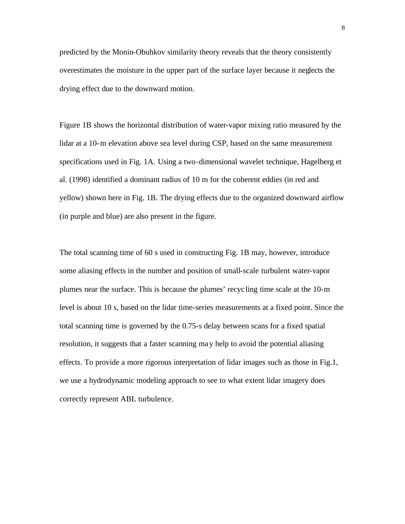predicted by the Monin-Obuhkov similarity theory reveals that the theory consistently overestimates the moisture in the upper part of the surface layer because it neglects the drying effect due to the downward motion.

Figure 1B shows the horizontal distribution of water-vapor mixing ratio measured by the lidar at a 10-m elevation above sea level during CSP, based on the same measurement specifications used in Fig. 1A. Using a two-dimensional wavelet technique, Hagelberg et al. (1998) identified a dominant radius of 10 m for the coherent eddies (in red and yellow) shown here in Fig. 1B. The drying effects due to the organized downward airflow (in purple and blue) are also present in the figure.

The total scanning time of 60 s used in constructing Fig. 1B may, however, introduce some aliasing effects in the number and position of small-scale turbulent water-vapor plumes near the surface. This is because the plumes' recyc ling time scale at the 10-m level is about 10 s, based on the lidar time-series measurements at a fixed point. Since the total scanning time is governed by the 0.75-s delay between scans for a fixed spatial resolution, it suggests that a faster scanning may help to avoid the potential aliasing effects. To provide a more rigorous interpretation of lidar images such as those in Fig.1, we use a hydrodynamic modeling approach to see to what extent lidar imagery does correctly represent ABL turbulence.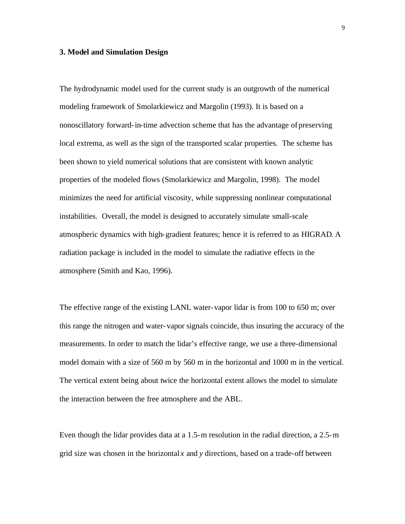#### **3. Model and Simulation Design**

The hydrodynamic model used for the current study is an outgrowth of the numerical modeling framework of Smolarkiewicz and Margolin (1993). It is based on a nonoscillatory forward-in-time advection scheme that has the advantage of preserving local extrema, as well as the sign of the transported scalar properties. The scheme has been shown to yield numerical solutions that are consistent with known analytic properties of the modeled flows (Smolarkiewicz and Margolin, 1998). The model minimizes the need for artificial viscosity, while suppressing nonlinear computational instabilities. Overall, the model is designed to accurately simulate small-scale atmospheric dynamics with high-gradient features; hence it is referred to as HIGRAD. A radiation package is included in the model to simulate the radiative effects in the atmosphere (Smith and Kao, 1996).

The effective range of the existing LANL water-vapor lidar is from 100 to 650 m; over this range the nitrogen and water-vapor signals coincide, thus insuring the accuracy of the measurements. In order to match the lidar's effective range, we use a three-dimensional model domain with a size of 560 m by 560 m in the horizontal and 1000 m in the vertical. The vertical extent being about twice the horizontal extent allows the model to simulate the interaction between the free atmosphere and the ABL.

Even though the lidar provides data at a 1.5-m resolution in the radial direction, a 2.5-m grid size was chosen in the horizontal *x* and *y* directions, based on a trade-off between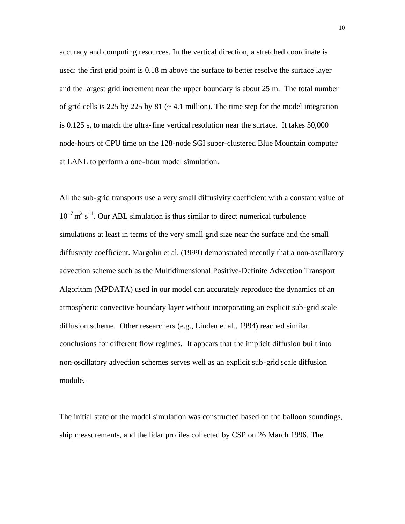accuracy and computing resources. In the vertical direction, a stretched coordinate is used: the first grid point is 0.18 m above the surface to better resolve the surface layer and the largest grid increment near the upper boundary is about 25 m. The total number of grid cells is 225 by 225 by 81  $\left(\sim 4.1 \text{ million}\right)$ . The time step for the model integration is 0.125 s, to match the ultra-fine vertical resolution near the surface. It takes 50,000 node-hours of CPU time on the 128-node SGI super-clustered Blue Mountain computer at LANL to perform a one-hour model simulation.

All the sub-grid transports use a very small diffusivity coefficient with a constant value of  $10^{-7}$  m<sup>2</sup> s<sup>-1</sup>. Our ABL simulation is thus similar to direct numerical turbulence simulations at least in terms of the very small grid size near the surface and the small diffusivity coefficient. Margolin et al. (1999) demonstrated recently that a non-oscillatory advection scheme such as the Multidimensional Positive-Definite Advection Transport Algorithm (MPDATA) used in our model can accurately reproduce the dynamics of an atmospheric convective boundary layer without incorporating an explicit sub-grid scale diffusion scheme. Other researchers (e.g., Linden et al., 1994) reached similar conclusions for different flow regimes. It appears that the implicit diffusion built into non-oscillatory advection schemes serves well as an explicit sub-grid scale diffusion module.

The initial state of the model simulation was constructed based on the balloon soundings, ship measurements, and the lidar profiles collected by CSP on 26 March 1996. The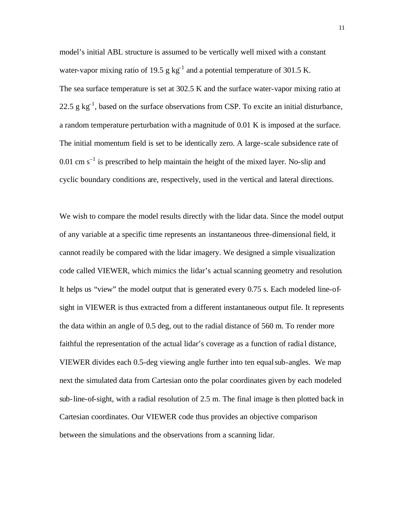model's initial ABL structure is assumed to be vertically well mixed with a constant water-vapor mixing ratio of 19.5 g  $kg^{-1}$  and a potential temperature of 301.5 K. The sea surface temperature is set at 302.5 K and the surface water-vapor mixing ratio at 22.5 g  $kg^{-1}$ , based on the surface observations from CSP. To excite an initial disturbance, a random temperature perturbation with a magnitude of 0.01 K is imposed at the surface. The initial momentum field is set to be identically zero. A large-scale subsidence rate of 0.01 cm  $s^{-1}$  is prescribed to help maintain the height of the mixed layer. No-slip and cyclic boundary conditions are, respectively, used in the vertical and lateral directions.

We wish to compare the model results directly with the lidar data. Since the model output of any variable at a specific time represents an instantaneous three-dimensional field, it cannot readily be compared with the lidar imagery. We designed a simple visualization code called VIEWER, which mimics the lidar's actual scanning geometry and resolution. It helps us "view" the model output that is generated every 0.75 s. Each modeled line-ofsight in VIEWER is thus extracted from a different instantaneous output file. It represents the data within an angle of 0.5 deg, out to the radial distance of 560 m. To render more faithful the representation of the actual lidar's coverage as a function of radia l distance, VIEWER divides each 0.5-deg viewing angle further into ten equal sub-angles. We map next the simulated data from Cartesian onto the polar coordinates given by each modeled sub-line-of-sight, with a radial resolution of 2.5 m. The final image is then plotted back in Cartesian coordinates. Our VIEWER code thus provides an objective comparison between the simulations and the observations from a scanning lidar.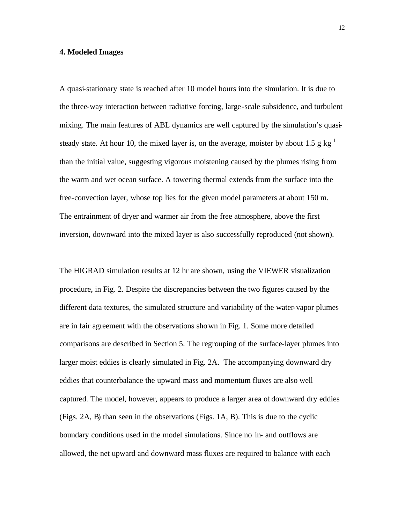#### **4. Modeled Images**

A quasi-stationary state is reached after 10 model hours into the simulation. It is due to the three-way interaction between radiative forcing, large-scale subsidence, and turbulent mixing. The main features of ABL dynamics are well captured by the simulation's quasisteady state. At hour 10, the mixed layer is, on the average, moister by about 1.5 g kg<sup>-1</sup> than the initial value, suggesting vigorous moistening caused by the plumes rising from the warm and wet ocean surface. A towering thermal extends from the surface into the free-convection layer, whose top lies for the given model parameters at about 150 m. The entrainment of dryer and warmer air from the free atmosphere, above the first inversion, downward into the mixed layer is also successfully reproduced (not shown).

The HIGRAD simulation results at 12 hr are shown, using the VIEWER visualization procedure, in Fig. 2. Despite the discrepancies between the two figures caused by the different data textures, the simulated structure and variability of the water-vapor plumes are in fair agreement with the observations shown in Fig. 1. Some more detailed comparisons are described in Section 5. The regrouping of the surface-layer plumes into larger moist eddies is clearly simulated in Fig. 2A. The accompanying downward dry eddies that counterbalance the upward mass and momentum fluxes are also well captured. The model, however, appears to produce a larger area of downward dry eddies (Figs. 2A, B) than seen in the observations (Figs. 1A, B). This is due to the cyclic boundary conditions used in the model simulations. Since no in- and outflows are allowed, the net upward and downward mass fluxes are required to balance with each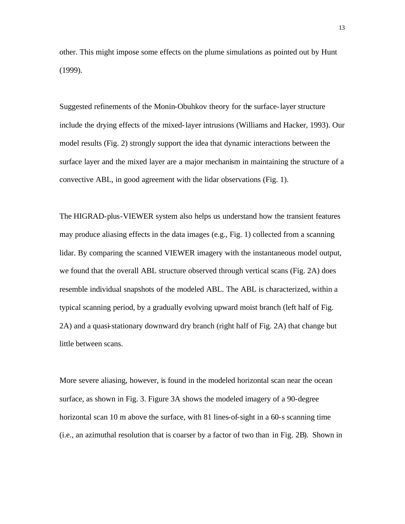other. This might impose some effects on the plume simulations as pointed out by Hunt (1999).

Suggested refinements of the Monin-Obuhkov theory for the surface-layer structure include the drying effects of the mixed-layer intrusions (Williams and Hacker, 1993). Our model results (Fig. 2) strongly support the idea that dynamic interactions between the surface layer and the mixed layer are a major mechanism in maintaining the structure of a convective ABL, in good agreement with the lidar observations (Fig. 1).

The HIGRAD-plus-VIEWER system also helps us understand how the transient features may produce aliasing effects in the data images (e.g., Fig. 1) collected from a scanning lidar. By comparing the scanned VIEWER imagery with the instantaneous model output, we found that the overall ABL structure observed through vertical scans (Fig. 2A) does resemble individual snapshots of the modeled ABL. The ABL is characterized, within a typical scanning period, by a gradually evolving upward moist branch (left half of Fig. 2A) and a quasi-stationary downward dry branch (right half of Fig. 2A) that change but little between scans.

More severe aliasing, however, is found in the modeled horizontal scan near the ocean surface, as shown in Fig. 3. Figure 3A shows the modeled imagery of a 90-degree horizontal scan 10 m above the surface, with 81 lines-of-sight in a 60-s scanning time (i.e., an azimuthal resolution that is coarser by a factor of two than in Fig. 2B). Shown in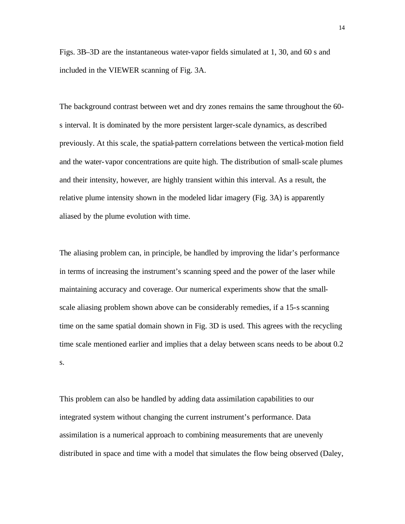Figs. 3B–3D are the instantaneous water-vapor fields simulated at 1, 30, and 60 s and included in the VIEWER scanning of Fig. 3A.

The background contrast between wet and dry zones remains the same throughout the 60 s interval. It is dominated by the more persistent larger-scale dynamics, as described previously. At this scale, the spatial-pattern correlations between the vertical-motion field and the water-vapor concentrations are quite high. The distribution of small-scale plumes and their intensity, however, are highly transient within this interval. As a result, the relative plume intensity shown in the modeled lidar imagery (Fig. 3A) is apparently aliased by the plume evolution with time.

The aliasing problem can, in principle, be handled by improving the lidar's performance in terms of increasing the instrument's scanning speed and the power of the laser while maintaining accuracy and coverage. Our numerical experiments show that the smallscale aliasing problem shown above can be considerably remedies, if a 15-s scanning time on the same spatial domain shown in Fig. 3D is used. This agrees with the recycling time scale mentioned earlier and implies that a delay between scans needs to be about 0.2 s.

This problem can also be handled by adding data assimilation capabilities to our integrated system without changing the current instrument's performance. Data assimilation is a numerical approach to combining measurements that are unevenly distributed in space and time with a model that simulates the flow being observed (Daley,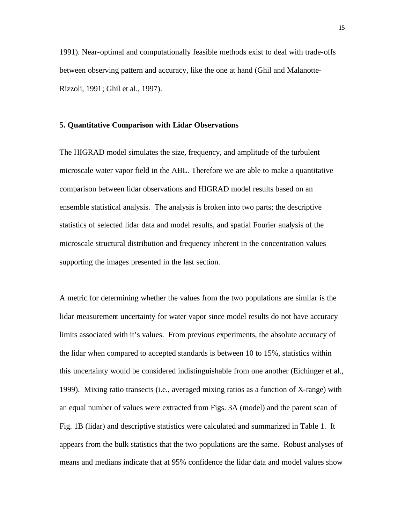1991). Near-optimal and computationally feasible methods exist to deal with trade-offs between observing pattern and accuracy, like the one at hand (Ghil and Malanotte-Rizzoli, 1991; Ghil et al., 1997).

#### **5. Quantitative Comparison with Lidar Observations**

The HIGRAD model simulates the size, frequency, and amplitude of the turbulent microscale water vapor field in the ABL. Therefore we are able to make a quantitative comparison between lidar observations and HIGRAD model results based on an ensemble statistical analysis. The analysis is broken into two parts; the descriptive statistics of selected lidar data and model results, and spatial Fourier analysis of the microscale structural distribution and frequency inherent in the concentration values supporting the images presented in the last section.

A metric for determining whether the values from the two populations are similar is the lidar measurement uncertainty for water vapor since model results do not have accuracy limits associated with it's values. From previous experiments, the absolute accuracy of the lidar when compared to accepted standards is between 10 to 15%, statistics within this uncertainty would be considered indistinguishable from one another (Eichinger et al., 1999). Mixing ratio transects (i.e., averaged mixing ratios as a function of X-range) with an equal number of values were extracted from Figs. 3A (model) and the parent scan of Fig. 1B (lidar) and descriptive statistics were calculated and summarized in Table 1. It appears from the bulk statistics that the two populations are the same. Robust analyses of means and medians indicate that at 95% confidence the lidar data and model values show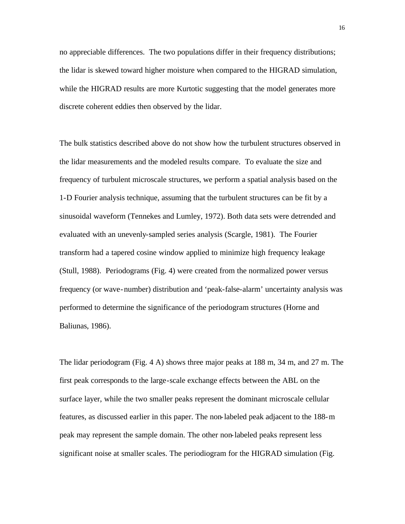no appreciable differences. The two populations differ in their frequency distributions; the lidar is skewed toward higher moisture when compared to the HIGRAD simulation, while the HIGRAD results are more Kurtotic suggesting that the model generates more discrete coherent eddies then observed by the lidar.

The bulk statistics described above do not show how the turbulent structures observed in the lidar measurements and the modeled results compare. To evaluate the size and frequency of turbulent microscale structures, we perform a spatial analysis based on the 1-D Fourier analysis technique, assuming that the turbulent structures can be fit by a sinusoidal waveform (Tennekes and Lumley, 1972). Both data sets were detrended and evaluated with an unevenly-sampled series analysis (Scargle, 1981). The Fourier transform had a tapered cosine window applied to minimize high frequency leakage (Stull, 1988). Periodograms (Fig. 4) were created from the normalized power versus frequency (or wave-number) distribution and 'peak-false-alarm' uncertainty analysis was performed to determine the significance of the periodogram structures (Horne and Baliunas, 1986).

The lidar periodogram (Fig. 4 A) shows three major peaks at 188 m, 34 m, and 27 m. The first peak corresponds to the large-scale exchange effects between the ABL on the surface layer, while the two smaller peaks represent the dominant microscale cellular features, as discussed earlier in this paper. The non-labeled peak adjacent to the 188-m peak may represent the sample domain. The other non-labeled peaks represent less significant noise at smaller scales. The periodiogram for the HIGRAD simulation (Fig.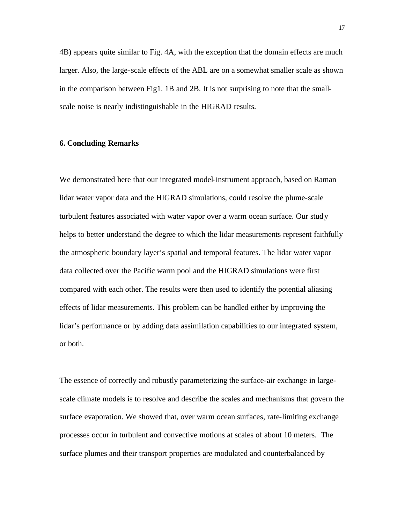4B) appears quite similar to Fig. 4A, with the exception that the domain effects are much larger. Also, the large-scale effects of the ABL are on a somewhat smaller scale as shown in the comparison between Fig1. 1B and 2B. It is not surprising to note that the smallscale noise is nearly indistinguishable in the HIGRAD results.

## **6. Concluding Remarks**

We demonstrated here that our integrated model-instrument approach, based on Raman lidar water vapor data and the HIGRAD simulations, could resolve the plume-scale turbulent features associated with water vapor over a warm ocean surface. Our study helps to better understand the degree to which the lidar measurements represent faithfully the atmospheric boundary layer's spatial and temporal features. The lidar water vapor data collected over the Pacific warm pool and the HIGRAD simulations were first compared with each other. The results were then used to identify the potential aliasing effects of lidar measurements. This problem can be handled either by improving the lidar's performance or by adding data assimilation capabilities to our integrated system, or both.

The essence of correctly and robustly parameterizing the surface-air exchange in largescale climate models is to resolve and describe the scales and mechanisms that govern the surface evaporation. We showed that, over warm ocean surfaces, rate-limiting exchange processes occur in turbulent and convective motions at scales of about 10 meters. The surface plumes and their transport properties are modulated and counterbalanced by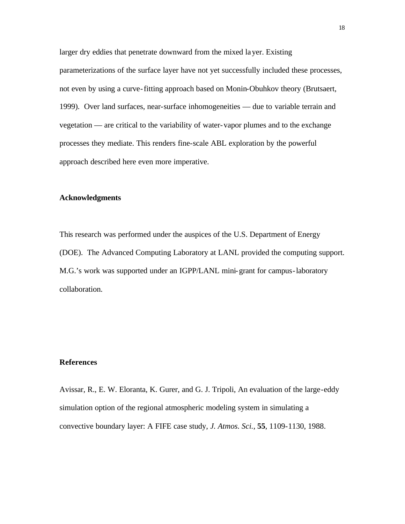larger dry eddies that penetrate downward from the mixed layer. Existing parameterizations of the surface layer have not yet successfully included these processes, not even by using a curve-fitting approach based on Monin-Obuhkov theory (Brutsaert, 1999). Over land surfaces, near-surface inhomogeneities — due to variable terrain and vegetation — are critical to the variability of water-vapor plumes and to the exchange processes they mediate. This renders fine-scale ABL exploration by the powerful approach described here even more imperative.

#### **Acknowledgments**

This research was performed under the auspices of the U.S. Department of Energy (DOE). The Advanced Computing Laboratory at LANL provided the computing support. M.G.'s work was supported under an IGPP/LANL mini-grant for campus-laboratory collaboration.

# **References**

Avissar, R., E. W. Eloranta, K. Gurer, and G. J. Tripoli, An evaluation of the large-eddy simulation option of the regional atmospheric modeling system in simulating a convective boundary layer: A FIFE case study, *J. Atmos. Sci.*, **55**, 1109-1130, 1988.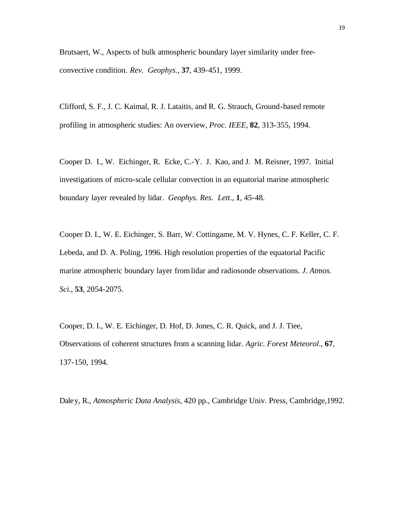Brutsaert, W., Aspects of bulk atmospheric boundary layer similarity under freeconvective condition. *Rev. Geophys.*, **37**, 439-451, 1999.

Clifford, S. F., J. C. Kaimal, R. J. Lataitis, and R. G. Strauch, Ground-based remote profiling in atmospheric studies: An overview, *Proc. IEEE*, **82**, 313-355, 1994.

Cooper D. I., W. Eichinger, R. Ecke, C.-Y. J. Kao, and J. M. Reisner, 1997. Initial investigations of micro-scale cellular convection in an equatorial marine atmospheric boundary layer revealed by lidar. *Geophys. Res. Lett*., **1**, 45-48.

Cooper D. I., W. E. Eichinger, S. Barr, W. Cottingame, M. V. Hynes, C. F. Keller, C. F. Lebeda, and D. A. Poling, 1996. High resolution properties of the equatorial Pacific marine atmospheric boundary layer from lidar and radiosonde observations. *J. Atmos. Sci.*, **53**, 2054-2075.

Cooper, D. I., W. E. Eichinger, D. Hof, D. Jones, C. R. Quick, and J. J. Tiee, Observations of coherent structures from a scanning lidar. *Agric. Forest Meteorol*., **67**, 137-150, 1994.

Daley, R., *Atmospheric Data Analysis*, 420 pp., Cambridge Univ. Press, Cambridge,1992.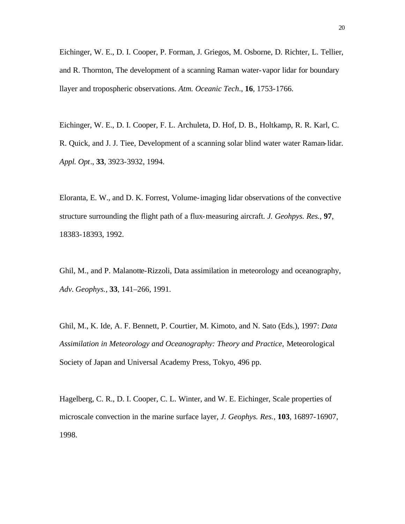Eichinger, W. E., D. I. Cooper, P. Forman, J. Griegos, M. Osborne, D. Richter, L. Tellier, and R. Thornton, The development of a scanning Raman water-vapor lidar for boundary llayer and tropospheric observations. *Atm. Oceanic Tech*., **16**, 1753-1766.

Eichinger, W. E., D. I. Cooper, F. L. Archuleta, D. Hof, D. B., Holtkamp, R. R. Karl, C. R. Quick, and J. J. Tiee, Development of a scanning solar blind water water Raman-lidar. *Appl. Opt*., **33**, 3923-3932, 1994.

Eloranta, E. W., and D. K. Forrest, Volume-imaging lidar observations of the convective structure surrounding the flight path of a flux-measuring aircraft. *J. Geohpys. Res.,* **97**, 18383-18393, 1992.

Ghil, M., and P. Malanotte-Rizzoli, Data assimilation in meteorology and oceanography, *Adv. Geophys.*, **33**, 141–266, 1991.

Ghil, M., K. Ide, A. F. Bennett, P. Courtier, M. Kimoto, and N. Sato (Eds.), 1997: *Data Assimilation in Meteorology and Oceanography: Theory and Practice*, Meteorological Society of Japan and Universal Academy Press, Tokyo, 496 pp.

Hagelberg, C. R., D. I. Cooper, C. L. Winter, and W. E. Eichinger, Scale properties of microscale convection in the marine surface layer, *J. Geophys. Res.,* **103**, 16897-16907, 1998.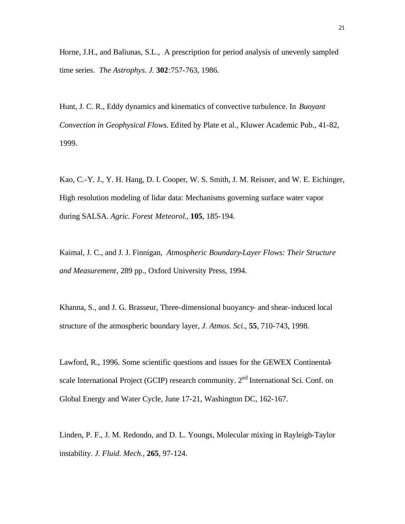Horne, J.H., and Baliunas, S.L., A prescription for period analysis of unevenly sampled time series. *The Astrophys. J.* **302**:757-763, 1986.

Hunt, J. C. R., Eddy dynamics and kinematics of convective turbulence. In *Buoyant Convection in Geophysical Flows.* Edited by Plate et al., Kluwer Academic Pub., 41-82, 1999.

Kao, C.-Y. J., Y. H. Hang, D. I. Cooper, W. S. Smith, J. M. Reisner, and W. E. Eichinger, High resolution modeling of lidar data: Mechanisms governing surface water vapor during SALSA. *Agric. Forest Meteorol*., **105**, 185-194.

Kaimal, J. C., and J. J. Finnigan, *Atmospheric Boundary-Layer Flows: Their Structure and Measurement*, 289 pp., Oxford University Press, 1994.

Khanna, S., and J. G. Brasseur, Three-dimensional buoyancy- and shear-induced local structure of the atmospheric boundary layer, *J. Atmos. Sci*., **55**, 710-743, 1998.

Lawford, R., 1996. Some scientific questions and issues for the GEWEX Continentalscale International Project (GCIP) research community. 2<sup>nd</sup> International Sci. Conf. on Global Energy and Water Cycle, June 17-21, Washington DC, 162-167.

Linden, P. F., J. M. Redondo, and D. L. Youngs, Molecular mixing in Rayleigh-Taylor instability. *J. Fluid. Mech.*, **265**, 97-124.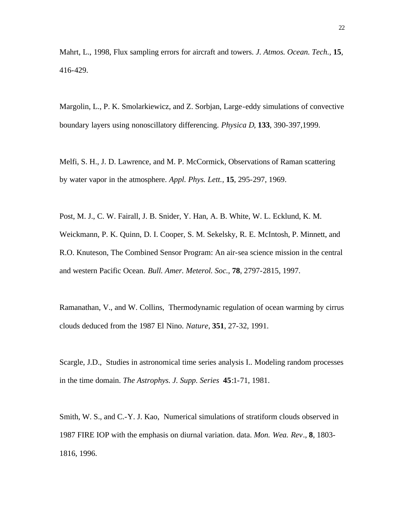Mahrt, L., 1998, Flux sampling errors for aircraft and towers. *J. Atmos. Ocean. Tech.,* **15**, 416-429.

Margolin, L., P. K. Smolarkiewicz, and Z. Sorbjan, Large-eddy simulations of convective boundary layers using nonoscillatory differencing. *Physica D*, **133**, 390-397,1999.

Melfi, S. H., J. D. Lawrence, and M. P. McCormick, Observations of Raman scattering by water vapor in the atmosphere. *Appl. Phys. Lett.,* **15**, 295-297, 1969.

Post, M. J., C. W. Fairall, J. B. Snider, Y. Han, A. B. White, W. L. Ecklund, K. M. Weickmann, P. K. Quinn, D. I. Cooper, S. M. Sekelsky, R. E. McIntosh, P. Minnett, and R.O. Knuteson, The Combined Sensor Program: An air-sea science mission in the central and western Pacific Ocean. *Bull. Amer. Meterol. Soc.*, **78**, 2797-2815, 1997.

Ramanathan, V., and W. Collins, Thermodynamic regulation of ocean warming by cirrus clouds deduced from the 1987 El Nino. *Nature*, **351**, 27-32, 1991.

Scargle, J.D., Studies in astronomical time series analysis I.. Modeling random processes in the time domain. *The Astrophys. J. Supp. Series* **45**:1-71, 1981.

Smith, W. S., and C.-Y. J. Kao, Numerical simulations of stratiform clouds observed in 1987 FIRE IOP with the emphasis on diurnal variation. data. *Mon. Wea. Rev*., **8**, 1803- 1816, 1996.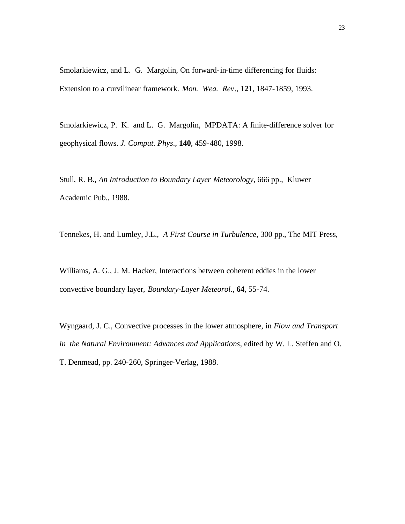Smolarkiewicz, and L. G. Margolin, On forward-in-time differencing for fluids: Extension to a curvilinear framework. *Mon. Wea. Rev*., **121**, 1847-1859, 1993.

Smolarkiewicz, P. K. and L. G. Margolin, MPDATA: A finite-difference solver for geophysical flows. *J. Comput. Phys*., **140**, 459-480, 1998.

Stull, R. B., *An Introduction to Boundary Layer Meteorology,* 666 pp., Kluwer Academic Pub., 1988.

Tennekes, H. and Lumley, J.L., *A First Course in Turbulence*, 300 pp., The MIT Press,

Williams, A. G., J. M. Hacker, Interactions between coherent eddies in the lower convective boundary layer, *Boundary-Layer Meteorol*., **64**, 55-74.

Wyngaard, J. C., Convective processes in the lower atmosphere, in *Flow and Transport in the Natural Environment: Advances and Applications*, edited by W. L. Steffen and O. T. Denmead, pp. 240-260, Springer-Verlag, 1988.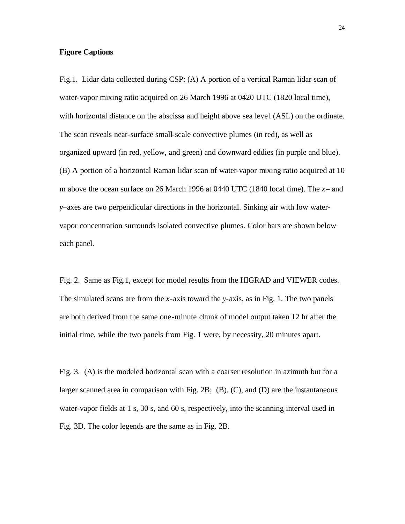## **Figure Captions**

Fig.1. Lidar data collected during CSP: (A) A portion of a vertical Raman lidar scan of water-vapor mixing ratio acquired on 26 March 1996 at 0420 UTC (1820 local time), with horizontal distance on the abscissa and height above sea level (ASL) on the ordinate. The scan reveals near-surface small-scale convective plumes (in red), as well as organized upward (in red, yellow, and green) and downward eddies (in purple and blue). (B) A portion of a horizontal Raman lidar scan of water-vapor mixing ratio acquired at 10 m above the ocean surface on 26 March 1996 at 0440 UTC (1840 local time). The *x*– and *y*–axes are two perpendicular directions in the horizontal. Sinking air with low watervapor concentration surrounds isolated convective plumes. Color bars are shown below each panel.

Fig. 2. Same as Fig.1, except for model results from the HIGRAD and VIEWER codes. The simulated scans are from the *x*-axis toward the *y*-axis, as in Fig. 1. The two panels are both derived from the same one-minute chunk of model output taken 12 hr after the initial time, while the two panels from Fig. 1 were, by necessity, 20 minutes apart.

Fig. 3. (A) is the modeled horizontal scan with a coarser resolution in azimuth but for a larger scanned area in comparison with Fig. 2B; (B), (C), and (D) are the instantaneous water-vapor fields at 1 s, 30 s, and 60 s, respectively, into the scanning interval used in Fig. 3D. The color legends are the same as in Fig. 2B.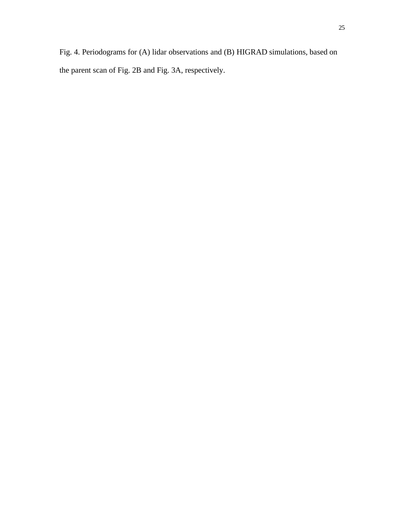Fig. 4. Periodograms for (A) lidar observations and (B) HIGRAD simulations, based on the parent scan of Fig. 2B and Fig. 3A, respectively.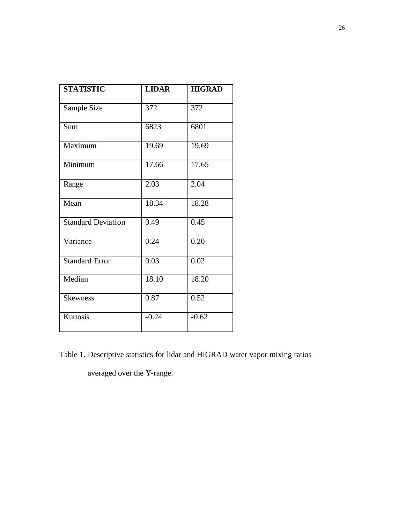| <b>STATISTIC</b>          | <b>LIDAR</b> | <b>HIGRAD</b> |
|---------------------------|--------------|---------------|
| Sample Size               | 372          | 372           |
| Sum                       | 6823         | 6801          |
| Maximum                   | 19.69        | 19.69         |
| Minimum                   | 17.66        | 17.65         |
| Range                     | 2.03         | 2.04          |
| Mean                      | 18.34        | 18.28         |
| <b>Standard Deviation</b> | 0.49         | 0.45          |
| Variance                  | 0.24         | 0.20          |
| <b>Standard Error</b>     | 0.03         | 0.02          |
| Median                    | 18.10        | 18.20         |
| <b>Skewness</b>           | 0.87         | 0.52          |
| Kurtosis                  | $-0.24$      | $-0.62$       |

Table 1. Descriptive statistics for lidar and HIGRAD water vapor mixing ratios

averaged over the Y-range.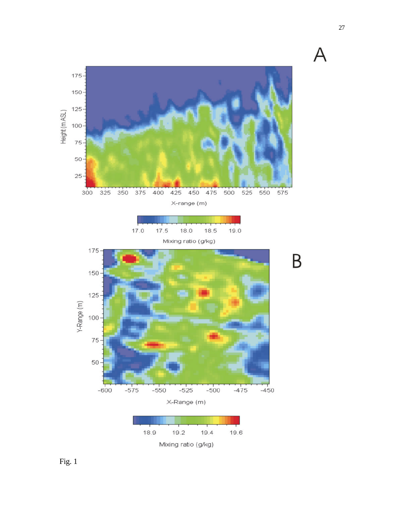

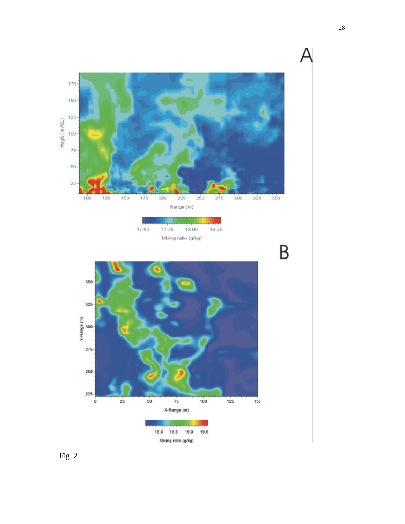

Fig. 2